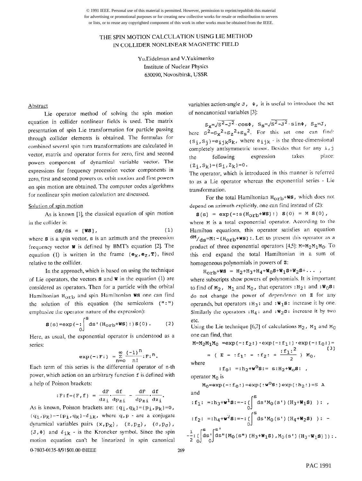© 1991 IEEE. Personal use of this material is permitted. However, permission to reprint/republish this material for advertising or promotional purposes or for creating new collective works for resale or redistribution to servers or lists, or to reuse any copyrighted component of this work in other works must be obtained from the IEEE.

# THE SPIN MOTION CALCULATION USING LIE METHOD IN COLLIDER NONLINEAR MAGNETIC FIELD

YuEidelman and V.Yakimenko Institute of Nuclear Physics 630090, Novosibirsk, USSR

#### Abstract

Lie operator method of solving the spin motion equation in collider nonlinear fields is used. The matrix presentation of spin Lie transformation for particle passing through collider elements is obtained. The formulas for combined several spin turn transformations are calculated in vector, matrix and operator forms for zero, first and second powers component of dynamical variable vector. The expressions for frequency precession vector components in zero, first and second powers or, orbit motion and first powers on spin motion are obtained. The computer codes algorithms for nonlinear spin motion calculation are discussed.

#### Solution of spin motion

As is known [l], the classical equation of spin motion in the collider is:

$$
d\mathbf{S}/ds = [\mathbf{WS}], \qquad (1)
$$

where  $s$  is a spin vector,  $s$  is an azimuth and the precession frequency vector  $w$  is defined by BMT's equation [2]. The equation (1) is written in the frame  $(e<sub>X</sub>, e<sub>Z</sub>, T)$ , fixed relative to the collider.

In the approach, which is based on using the technique of Lie operators, the vectors  $s$  and  $w$  in the equation (1) are considered as operators. Then for a particle with the orbital Hamiltonian  $H_{\text{orb}}$  and spin Hamiltonian WS one can find the solution of this equation (the semicolons  $('' :'')$ emphasize the operator nature of the expression):

$$
\mathbf{S}(s) = \exp(-\frac{1}{2}) \text{d}s'(\text{H}_{\text{orb}} + \text{WS}) : \mathbf{S}(0) .
$$
 (2)

Here, as usual, the exponential operator is understood as a series:

$$
\exp(-:F:) = \sum_{n=0}^{\infty} \frac{(-1)^n}{n!} :F:^n.
$$

Each term of this series is the differential operator of n-th power, which action on an arbitrary function f is defined with a help of Poisson brackets:

$$
: \mathbf{F} : \mathbf{f} = (\mathbf{F}, \mathbf{f}) = \frac{d\mathbf{F}}{dz_1} \cdot \frac{d\mathbf{f}}{dp_{z1}} - \frac{d\mathbf{F}}{dp_{z1}} \cdot \frac{d\mathbf{f}}{dz_1}.
$$

As is known, Poisson brackets are:  $\{q_i, q_k\} = \{p_i, p_k\} = 0$ ,  $(q_i, p_k) = -(p_i, q_k) = \delta_{ik}$ , where q, p - are a conjugate dynamical variables pairs  $(x, p_X)$ ,  $(z, p_Z)$ ,  $(\sigma, p_{\sigma})$ ,  $(J, \Phi)$  and  $\delta_{ik}$  - is the Kroneker symbol. Since the spin motion equation can't be linearized in spin canonical 0-7803-0135-8/91\$01.00 ©IEEE 269

variables action-angle  $J$ ,  $\Phi$ , it is useful to introduce the set of noncanonical variables [3]:

 $\mathtt{S_X=\!\sqrt{S^2\!-\!J^2}\cdot\cos\Phi},\ \mathtt{S_S=\!\sqrt{S^2\!-\!J^2}\cdot\sin\Phi},\ \mathtt{S_Z=\!J} \, ,$ here  $s^2 = s_x^2 + s_z^2 + s_s^2$ . For this set one can find:  $(s_i,s_j) = e_{ijk} s_k$ , where  $e_{ijk}$  - is the three-dimensional completely antisymmetric tensor. Besides that for any i, j the following expression takes place:  ${Z_i, S_k}$  = {S<sub>i</sub>, Z<sub>k</sub>}=0.

The operator, which is introduced in this manner is referred to as a Lie operator whereas the exponential series - Lie transformation.

For the total Hamiltonian  $H_{\text{Orb}}+W\text{s}$ , which does not depend on azimuth explicitly, one can find instead of (2):

 $S(s) = exp(-:s(H<sub>orb</sub>+WS):) S(0) = M S(0),$ where M is a total exponential operator. According to the Hamilton equations, this operator satisfies an equation  $\rm{dM}/d_{\rm s}=M:$  - (H<sub>OTD</sub>+WS) :. Let us present this operator as a product of three exponential operators [4,5]:  $M=M_2M_1M_0$ . To this end expand the total Hamiltonian in a sum of homogeneous polynomials in powers of  $z$ :

 $H_{\text{orb}}+W\text{s} = H_2+H_3+H_4+W_0\text{s}+W_1\text{s}+W_2\text{s}+\ldots,$ where subscripts show powers of polynomials. It is important to find of  $M_2$ ,  $M_1$  and  $M_0$ , that operators :  $H_2$ : and :  $W_0S$ : do not change the power of dependence on 2 for any operands, but operators :  $H_3$ : and :  $W_1S$ : increase it by one. Similarly the operators :  $H_4$ : and :  $W_2S$ : increase it by two etc.

Using the Lie technique [6,7] of calculations  $M_2$ ,  $M_1$  and  $M_0$ one can find, that

M=M<sub>2</sub>M<sub>1</sub>M<sub>0</sub> = exp(-:f<sub>2</sub>:) exp(-:f<sub>1</sub>:) exp(-:f<sub>0</sub>:)=  
\n= ( E - :f<sub>1</sub>: - :f<sub>2</sub>: + 
$$
\frac{:f1:^2}{2}
$$
) M<sub>0</sub>,  
\nwhere

:f<sub>0</sub>: =:h<sub>2</sub>+w<sup>o</sup>S:= s:H<sub>2</sub>+W<sub>o</sub>S: ,

operator  $M_0$  is

 $2 \dot{0}$   $\sqrt{0}$ 

$$
M_0 = exp(-:f_0:) = exp(:w^0s:) exp(:,h_2:) = S A
$$
  
and  

$$
:f_1: =:h_3 + w^1s: = -: \left(\int_0^s ds M_0(s') (H_3 + W_1s) \right): ,
$$

$$
:f_2: =:h_4 + w^2s: = -: \left(\int_0^s ds M_0(s') (H_4 + W_2s) \right): -
$$

$$
\left.\left.\left.\left(\int_0^s ds'\right] ds'' [M_0(s'') (H_3 + W_1s) , M_0(s') (H_3 + W_1s) ]\right): .\right.\right.
$$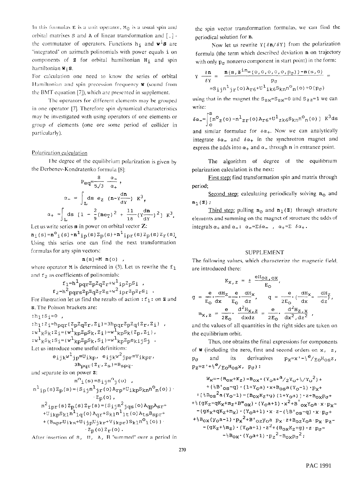In this formulas E is a unit operator,  $M_0$  is a usual spin and orbital matrixes  $S$  and  $A$  of linear transformation and  $[$ , $]$  the commutator of operators. Functions  $h_i$  and  $w^i$ s are "integrated" on azimuth polinomials with power equals i on components of  $z$  for orbital hamiltonian  $H_1$  and spin hamiltonian  $w_i$ s.

For calculation one need to know the series of orbital Hamiltonian and spin precession frequency  $w$  (sound from the BMT equation [7]), which are presented in supplement.

The operators for different elements may be grouped in one operator [7]. Therefore spin dynamical characteristics may be investigated with using operators of one elements or group of elements (one ore some period of collider in particularly).

## Polarization calculation

The degree of the equilibrium polarization is given by the Derbenev-Kondratenko formula [8]:

$$
P_{eq} = \frac{8}{5/3} \frac{\alpha}{\alpha_+},
$$
  
\n
$$
\alpha_- = \int_{L} ds \ e_2 \ (n - v \frac{dn}{dy}) \ K^3,
$$
  
\n
$$
\alpha_+ = \int_{L} ds \ [1 - \frac{2}{9} (ne_T)^2 + \frac{11}{18} (v \frac{dn}{dy})^2 \ K^3.
$$

Let us write series **n** in power on orbital vector **Z**:

 $n_i(s) = n^{\circ}$  $i(s) + n^{\circ}$  $i_p(s)z_p(s) + n^{\circ}$  $i_p(s)z_p(s)z_r(s)$ Using this series one can find the next transformation formulas for any spin vectors:

$$
\mathbf{n}(s) = M \mathbf{n}(o) ,
$$

where operator  $M$  is determined in (3). Let us rewrite the  $f_1$ and  $f_2$  as coefficients of polinomials:

$$
f_1 = h^1 pqr^2p^2q^2r^{+w^1}ip^2p^Si
$$
  

$$
f_2 = h^2 pqrs^2p^2q^2r^2s^{+w^2}ipr^2p^2r^Si
$$

For illustration let us find the rezults of action :  $f_1$ : on **z** and S. The Poisson brackets are:

$$
\begin{aligned}\n\text{: } & h_1: S_i = 0 \quad , \\
\text{: } & h_1: Z_i = h_{pqr}(Z_p Z_q Z_r, Z_i) = 3h_{pqr} Z_p Z_q(Z_r, Z_i) \quad , \\
\text{: } & w^1{}_k S_k: Z_i = \{w^1{}_k{}_p Z_p S_k, Z_i\} = w^1{}_k{}_p S_k(Z_p, Z_i) \quad , \\
\text{: } & w^1{}_k S_k: S_i = \{w^1{}_k{}_p Z_p S_k, S_i\} = w^1{}_k{}_p Z_p e_k i j S_j \quad . \\
\text{Let us introduce some useful definitions:}\n\end{aligned}
$$

$$
e_{ijk}w^{1}jp \equiv U_{ikp}, e_{ijk}w^{2}jpr \equiv V_{ikpr},
$$
  
  $3h_{pqr}(z_r, z_s) \equiv B_{spq}.$ 

and separate its on power  $z$ :

$$
n^{O}_{i}(s) = s_{ij}n^{O}_{j}(o) ,
$$
  
\n
$$
n^{1}_{ip}(s) z_{p}(s) = (s_{ij}n^{1}_{jr}(o) A_{rp} + U_{ikp}S_{kn}n^{O}_{n}(o))
$$
  
\n
$$
z_{p}(o) ,
$$
  
\n
$$
n^{2}_{ipr}(s) z_{p}(s) z_{r}(s) = (s_{ij}n^{2}_{jqs}(o) A_{qp}A_{sr} + U_{ikp}S_{kl}n^{1}_{lq}(o) A_{qr} + S_{kl}n^{1}_{lt}(o) A_{ts}B_{spr} +
$$
  
\n
$$
+ (s_{spr}U_{iks} + U_{ijp}U_{jkr} + V_{ikpr}) S_{kl}n^{O}_{l}(o))
$$
  
\n
$$
z_{p}(o) z_{r}(o) .
$$

After insertion of S, U, A, B "summed" over a period in

the spin vector transformation formulas, we can find the periodical solution for n.

Now let us rewrite  $Y[\delta n/\delta Y]$  from the polarization formula (the term which described deviation n on trajectory with only  $p_{\sigma}$  nonzero component in start point) in the form:

$$
Y \frac{\delta \mathbf{n}}{\delta Y} = \frac{\mathbf{n}(\mathbf{s}, \mathbf{Z}^{\mathbf{i} n_{=}}(0, 0, 0, 0, 0, 0, p_{\sigma})) - \mathbf{n}(\mathbf{s}, 0)}{p_{\sigma}} =
$$

$$
=S_{\mathbf{i}\mathbf{j}} n_{\mathbf{j}\mathbf{r}}(\mathbf{o}) A_{\mathbf{r}\mathbf{6}} + U^{\mathbf{l}}_{\mathbf{i}\mathbf{k}} \delta S_{\mathbf{k}n} n^{\mathbf{o}}_{\mathbf{n}}(\mathbf{o}) + O(p_{\sigma})
$$

using that in the magnet the  $S_{2x}=S_{2x}=0$  and  $S_{2z}=1$  we can write:

$$
\delta \alpha = \int_{0}^{S} \ln^{0} z(0) - n^{1} z r(0) A_{T} 6 + U^{1} z k 6 S_{k} n^{0} (0) \int K^{3} ds
$$

and similar formulae for  $\delta \alpha_+$ . Now we can analytically integrate  $\delta \alpha$  and  $\delta \alpha$  in the synchrotron magnet and express the adds into  $\alpha_+$  and  $\alpha_-$  through n in entrance point.

The algorithm of degree of the equilibrium polarization calculation is the next:

First step: find transformation spin and matrix through period;

Second step: calculating periodically solving  $n_0$  and  $n_1 (Z)$  ;

Third step: pulling  $n_0$  and  $n_1(z)$  through structure elements and summing on the magnet of structure the adds of integrals  $\alpha_+$  and  $\alpha_-: \alpha_- = \Sigma \delta \alpha_-$ ,  $\alpha_+ = \Sigma \delta \alpha_+$ .

### SUPPLEMENT

The following values, which characterize the magnetic field. are introduced there:

$$
K_{X, z} = \pm \frac{eH_{OZ, OX}}{E_O},
$$
  
\n
$$
g = \frac{e}{E_O} \frac{dH_Z}{dx} = \frac{e}{E_O} \frac{dH_X}{dz}, \qquad q = \frac{e}{2E_O} \cdot \frac{dH_X}{dx} - \frac{dH_Z}{dz},
$$
  
\n
$$
m_{X, z} = \frac{e}{2E_O} \cdot \frac{d^2H_{X, z}}{dxdz} = \frac{e}{2E_O} \cdot \frac{d^2H_{Z, X}}{dx^2, dz^2},
$$

and the values of all quantities in the right sides are taken on the equilibrium orbit.

Thus, one obtains the final expressions for components of  $\bf{W}$  (including the zero, first and second orders on  $\bf{x}$ ,  $\bf{z}$ ,  $p_{\sigma}$  and its derivatives  $p_{X}=x^{\dagger}-\frac{1}{2}e/_{E\Omega}H_{\Omega S}z$ ,  $p_z=z'+\frac{1}{2}e/_{Eo}H_{OS}x, p_{\sigma}):$ 

$$
W_{\mathbf{X}} = (B_{0\mathbf{X}} + K_{z}) - B_{0\mathbf{X}} \cdot (Y_{0}a + a^{2}/2Y_{0} + \frac{1}{2}Y_{0}^{2}) +
$$
  
+  $(\frac{1}{2}B^{*}{}_{0S} - q) \cdot (1 + Y_{0}a) \cdot x + B_{0S}a(Y_{0} - 1) \cdot P_{X} +$   
+  $(\frac{1}{2}B_{0S}^{2}a(Y_{0} - 1) - (B_{0X}K_{z} + q) (1 + Y_{0}a) \cdot z + B_{0X}P_{0} +$   
+  $\frac{1}{2}(gK_{z} - qK_{\mathbf{X}} + m_{z} + B^{*}{}_{0\mathbf{X}}) \cdot (Y_{0}a + 1) \cdot x^{2} + B^{*}{}_{0\mathbf{X}}Y_{0}a \cdot x \cdot P_{X} -$   
-  $(gK_{\mathbf{X}} + qK_{z} + m_{\mathbf{X}}) \cdot (Y_{0}a + 1) \cdot x \cdot z - (\frac{1}{2}B^{*}{}_{0S} - q) \cdot x \cdot P_{0} +$   
+  $\frac{1}{2}B_{0X}(Y_{0}a - 1) \cdot P_{\mathbf{X}}^{2} + B^{*}{}_{0Z}Y_{0}a \cdot P_{X} \cdot z + B_{0Z}Y_{0}a \cdot P_{X} \cdot P_{Z} -$   
-  $(gK_{z} + \frac{1}{2}m_{z}) \cdot (Y_{0}a + 1) \cdot z^{2} + (B_{0X}K_{z} + q) \cdot z \cdot P_{0} -$   
-  $\frac{1}{2}B_{0X} \cdot (Y_{0}a + 1) \cdot P_{z}^{2} - B_{0X}P_{0}^{2};$